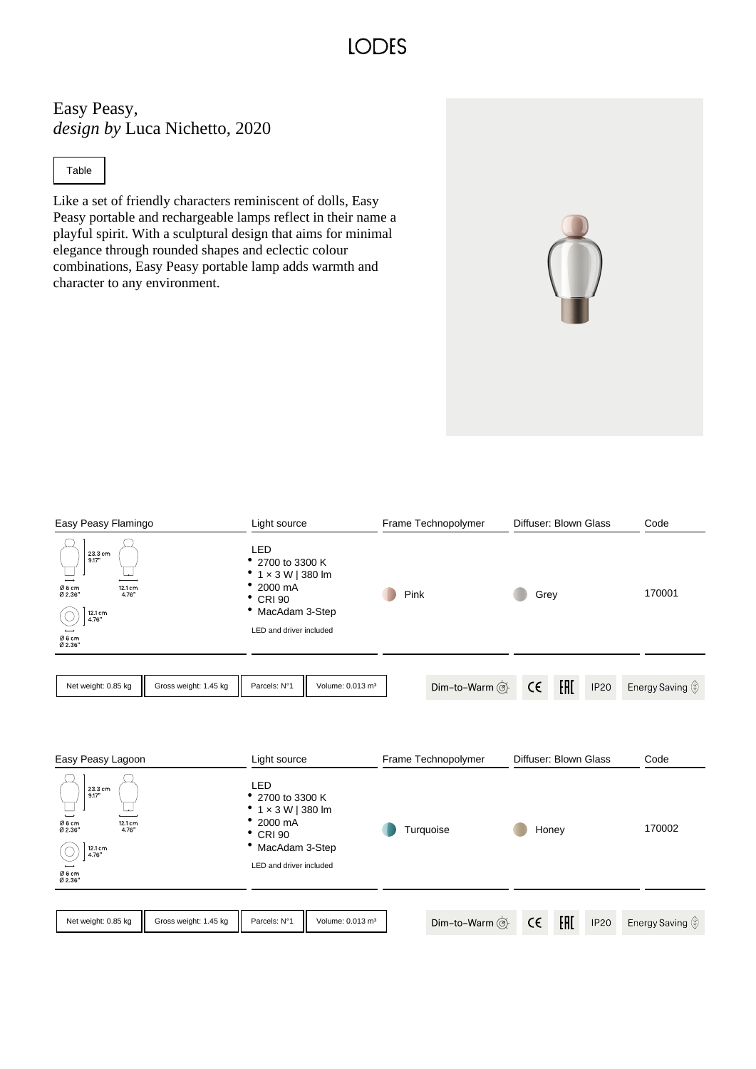## **IODES**

Easy Peasy, *design by* Luca Nichetto, 2020

Table

Like a set of friendly characters reminiscent of dolls, Easy Peasy portable and rechargeable lamps reflect in their name a playful spirit. With a sculptural design that aims for minimal elegance through rounded shapes and eclectic colour combinations, Easy Peasy portable lamp adds warmth and character to any environment.